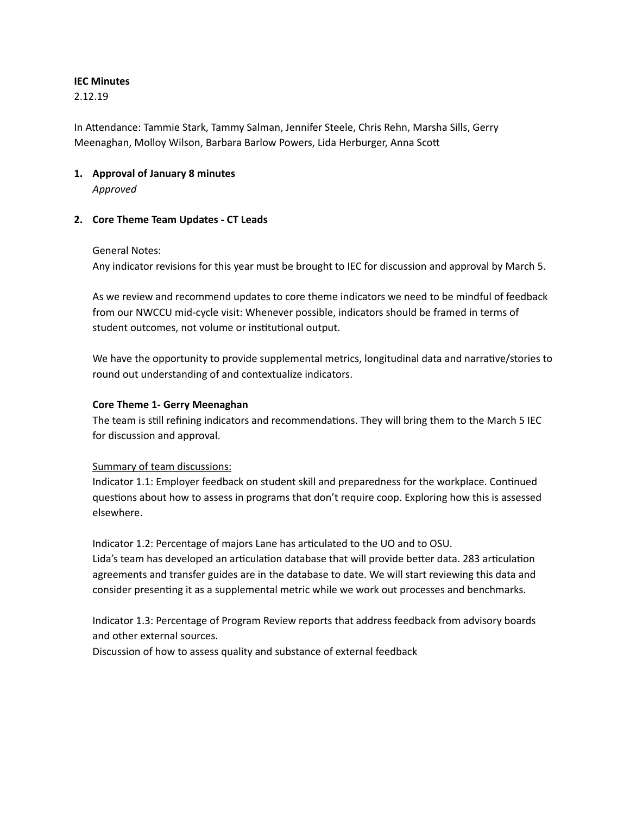## **IEC Minutes**

2.12.19

In Attendance: Tammie Stark, Tammy Salman, Jennifer Steele, Chris Rehn, Marsha Sills, Gerry Meenaghan, Molloy Wilson, Barbara Barlow Powers, Lida Herburger, Anna Sco

# **1. Approval of January 8 minutes**

*Approved*

# **2. Core Theme Team Updates - CT Leads**

## General Notes:

Any indicator revisions for this year must be brought to IEC for discussion and approval by March 5.

As we review and recommend updates to core theme indicators we need to be mindful of feedback from our NWCCU mid-cycle visit: Whenever possible, indicators should be framed in terms of student outcomes, not volume or institutional output.

We have the opportunity to provide supplemental metrics, longitudinal data and narrative/stories to round out understanding of and contextualize indicators.

# **Core Theme 1- Gerry Meenaghan**

The team is still refining indicators and recommendations. They will bring them to the March 5 IEC for discussion and approval.

## Summary of team discussions:

Indicator 1.1: Employer feedback on student skill and preparedness for the workplace. Continued questions about how to assess in programs that don't require coop. Exploring how this is assessed elsewhere.

Indicator 1.2: Percentage of majors Lane has articulated to the UO and to OSU. Lida's team has developed an articulation database that will provide better data. 283 articulation agreements and transfer guides are in the database to date. We will start reviewing this data and consider presenting it as a supplemental metric while we work out processes and benchmarks.

Indicator 1.3: Percentage of Program Review reports that address feedback from advisory boards and other external sources.

Discussion of how to assess quality and substance of external feedback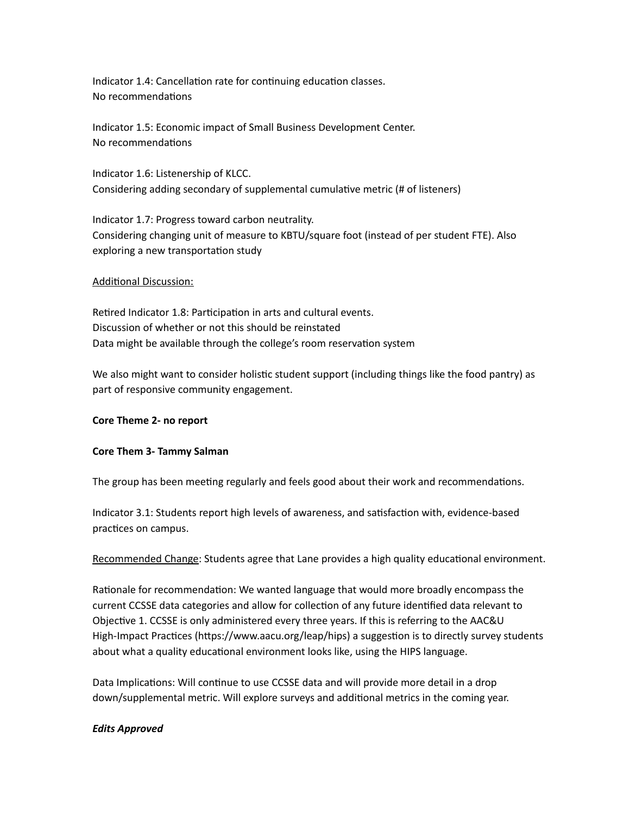Indicator 1.4: Cancellation rate for continuing education classes. No recommendations

Indicator 1.5: Economic impact of Small Business Development Center. No recommendations

Indicator 1.6: Listenership of KLCC. Considering adding secondary of supplemental cumulative metric (# of listeners)

Indicator 1.7: Progress toward carbon neutrality. Considering changing unit of measure to KBTU/square foot (instead of per student FTE). Also exploring a new transportation study

### Additional Discussion:

Retired Indicator 1.8: Participation in arts and cultural events. Discussion of whether or not this should be reinstated Data might be available through the college's room reservation system

We also might want to consider holistic student support (including things like the food pantry) as part of responsive community engagement.

#### **Core Theme 2- no report**

#### **Core Them 3- Tammy Salman**

The group has been meeting regularly and feels good about their work and recommendations.

Indicator 3.1: Students report high levels of awareness, and satisfaction with, evidence-based practices on campus.

Recommended Change: Students agree that Lane provides a high quality educational environment.

Rationale for recommendation: We wanted language that would more broadly encompass the current CCSSE data categories and allow for collection of any future identified data relevant to Objective 1. CCSSE is only administered every three years. If this is referring to the AAC&U High-Impact Practices (https://www.aacu.org/leap/hips) a suggestion is to directly survey students about what a quality educational environment looks like, using the HIPS language.

Data Implications: Will continue to use CCSSE data and will provide more detail in a drop down/supplemental metric. Will explore surveys and additional metrics in the coming year.

## *Edits Approved*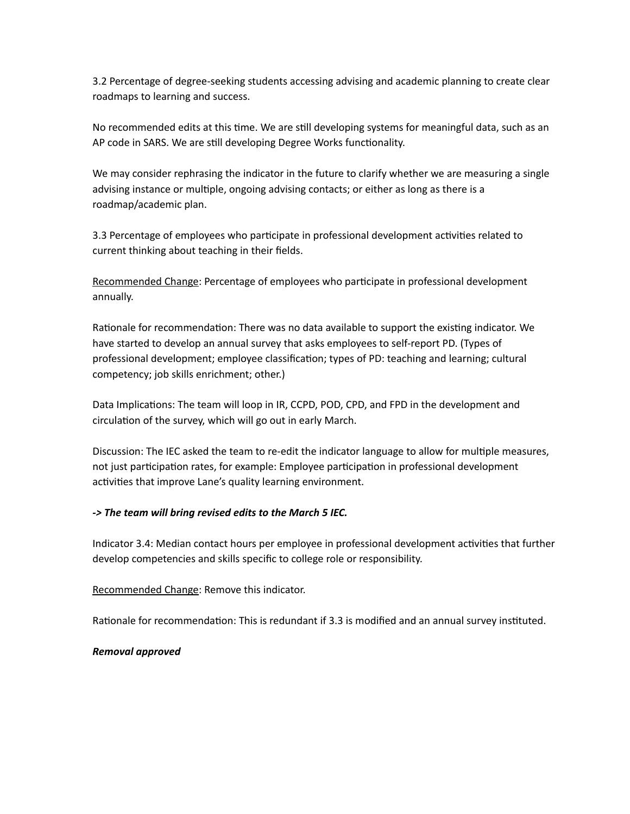3.2 Percentage of degree-seeking students accessing advising and academic planning to create clear roadmaps to learning and success.

No recommended edits at this time. We are still developing systems for meaningful data, such as an AP code in SARS. We are still developing Degree Works functionality.

We may consider rephrasing the indicator in the future to clarify whether we are measuring a single advising instance or multiple, ongoing advising contacts; or either as long as there is a roadmap/academic plan.

3.3 Percentage of employees who participate in professional development activities related to current thinking about teaching in their fields.

Recommended Change: Percentage of employees who participate in professional development annually.

Rationale for recommendation: There was no data available to support the existing indicator. We have started to develop an annual survey that asks employees to self-report PD. (Types of professional development; employee classification; types of PD: teaching and learning; cultural competency; job skills enrichment; other.)

Data Implications: The team will loop in IR, CCPD, POD, CPD, and FPD in the development and circulation of the survey, which will go out in early March.

Discussion: The IEC asked the team to re-edit the indicator language to allow for multiple measures, not just participation rates, for example: Employee participation in professional development activities that improve Lane's quality learning environment.

## *-> The team will bring revised edits to the March 5 IEC.*

Indicator 3.4: Median contact hours per employee in professional development activities that further develop competencies and skills specific to college role or responsibility.

Recommended Change: Remove this indicator.

Rationale for recommendation: This is redundant if 3.3 is modified and an annual survey instituted.

## *Removal approved*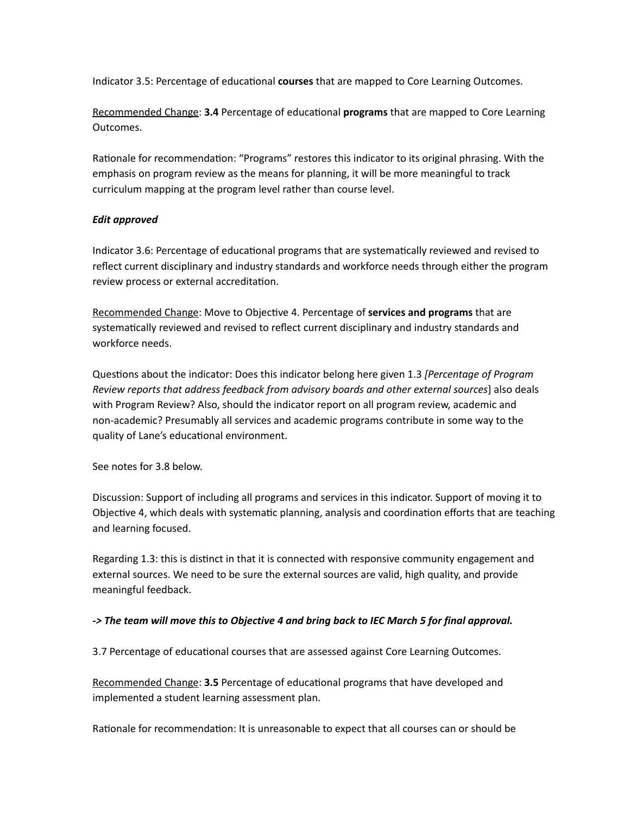Indicator 3.5: Percentage of educational **courses** that are mapped to Core Learning Outcomes.

Recommended Change: 3.4 Percentage of educational programs that are mapped to Core Learning Outcomes.

Rationale for recommendation: "Programs" restores this indicator to its original phrasing. With the emphasis on program review as the means for planning, it will be more meaningful to track curriculum mapping at the program level rather than course level.

# *Edit approved*

Indicator 3.6: Percentage of educational programs that are systematically reviewed and revised to reflect current disciplinary and industry standards and workforce needs through either the program review process or external accreditation.

Recommended Change: Move to Objective 4. Percentage of **services and programs** that are systematically reviewed and revised to reflect current disciplinary and industry standards and workforce needs.

Questions about the indicator: Does this indicator belong here given 1.3 *[Percentage of Program Review reports that address feedback from advisory boards and other external sources*] also deals with Program Review? Also, should the indicator report on all program review, academic and non-academic? Presumably all services and academic programs contribute in some way to the quality of Lane's educational environment.

See notes for 3.8 below.

Discussion: Support of including all programs and services in this indicator. Support of moving it to Objective 4, which deals with systematic planning, analysis and coordination efforts that are teaching and learning focused.

Regarding 1.3: this is distinct in that it is connected with responsive community engagement and external sources. We need to be sure the external sources are valid, high quality, and provide meaningful feedback.

## *-> The team will move this to Objective 4 and bring back to IEC March 5 for final approval.*

3.7 Percentage of educational courses that are assessed against Core Learning Outcomes.

Recommended Change: 3.5 Percentage of educational programs that have developed and implemented a student learning assessment plan.

Rationale for recommendation: It is unreasonable to expect that all courses can or should be